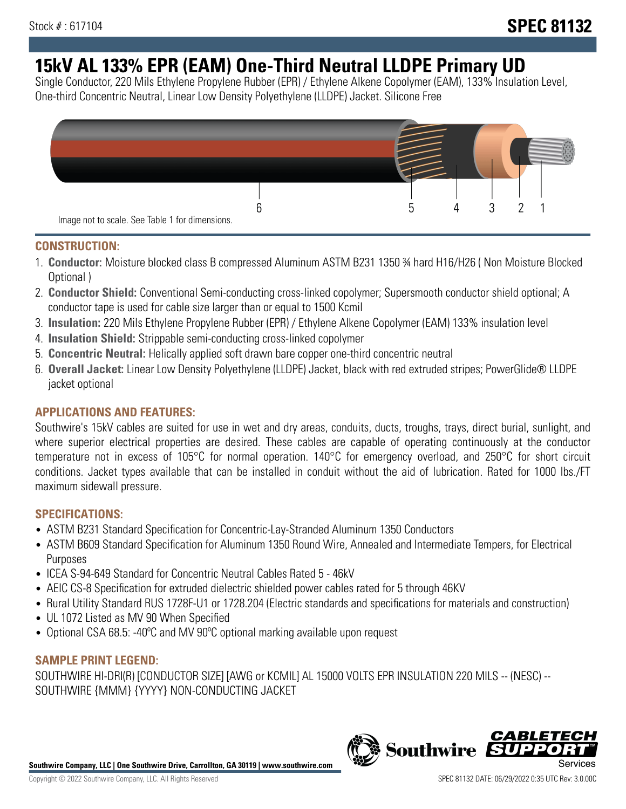# **15kV AL 133% EPR (EAM) One-Third Neutral LLDPE Primary UD**

Single Conductor, 220 Mils Ethylene Propylene Rubber (EPR) / Ethylene Alkene Copolymer (EAM), 133% Insulation Level, One-third Concentric Neutral, Linear Low Density Polyethylene (LLDPE) Jacket. Silicone Free



## **CONSTRUCTION:**

- 1. **Conductor:** Moisture blocked class B compressed Aluminum ASTM B231 1350 ¾ hard H16/H26 ( Non Moisture Blocked Optional )
- 2. **Conductor Shield:** Conventional Semi-conducting cross-linked copolymer; Supersmooth conductor shield optional; A conductor tape is used for cable size larger than or equal to 1500 Kcmil
- 3. **Insulation:** 220 Mils Ethylene Propylene Rubber (EPR) / Ethylene Alkene Copolymer (EAM) 133% insulation level
- 4. **Insulation Shield:** Strippable semi-conducting cross-linked copolymer
- 5. **Concentric Neutral:** Helically applied soft drawn bare copper one-third concentric neutral
- 6. **Overall Jacket:** Linear Low Density Polyethylene (LLDPE) Jacket, black with red extruded stripes; PowerGlide® LLDPE jacket optional

# **APPLICATIONS AND FEATURES:**

Southwire's 15kV cables are suited for use in wet and dry areas, conduits, ducts, troughs, trays, direct burial, sunlight, and where superior electrical properties are desired. These cables are capable of operating continuously at the conductor temperature not in excess of 105°C for normal operation. 140°C for emergency overload, and 250°C for short circuit conditions. Jacket types available that can be installed in conduit without the aid of lubrication. Rated for 1000 lbs./FT maximum sidewall pressure.

## **SPECIFICATIONS:**

- ASTM B231 Standard Specification for Concentric-Lay-Stranded Aluminum 1350 Conductors
- ASTM B609 Standard Specification for Aluminum 1350 Round Wire, Annealed and Intermediate Tempers, for Electrical Purposes
- ICEA S-94-649 Standard for Concentric Neutral Cables Rated 5 46kV
- AEIC CS-8 Specification for extruded dielectric shielded power cables rated for 5 through 46KV
- Rural Utility Standard RUS 1728F-U1 or 1728.204 (Electric standards and specifications for materials and construction)
- UL 1072 Listed as MV 90 When Specified
- Optional CSA 68.5: -40°C and MV 90°C optional marking available upon request

## **SAMPLE PRINT LEGEND:**

SOUTHWIRE HI-DRI(R) [CONDUCTOR SIZE] [AWG or KCMIL] AL 15000 VOLTS EPR INSULATION 220 MILS -- (NESC) -- SOUTHWIRE {MMM} {YYYY} NON-CONDUCTING JACKET



**Southwire** 

*CABLE*